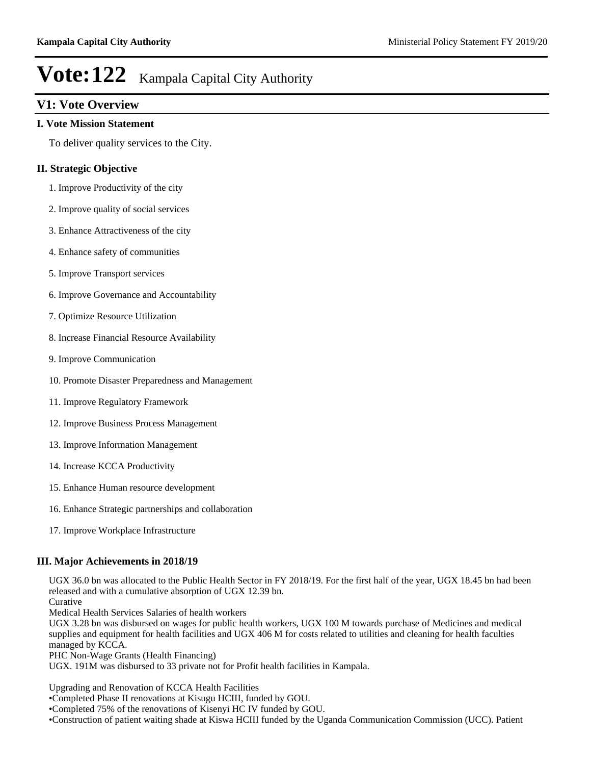## **V1: Vote Overview**

#### **I. Vote Mission Statement**

To deliver quality services to the City.

### **II. Strategic Objective**

- 1. Improve Productivity of the city
- 2. Improve quality of social services
- 3. Enhance Attractiveness of the city
- 4. Enhance safety of communities
- 5. Improve Transport services
- 6. Improve Governance and Accountability
- 7. Optimize Resource Utilization
- 8. Increase Financial Resource Availability
- 9. Improve Communication
- 10. Promote Disaster Preparedness and Management
- 11. Improve Regulatory Framework
- 12. Improve Business Process Management
- 13. Improve Information Management
- 14. Increase KCCA Productivity
- 15. Enhance Human resource development
- 16. Enhance Strategic partnerships and collaboration
- 17. Improve Workplace Infrastructure

#### **III. Major Achievements in 2018/19**

UGX 36.0 bn was allocated to the Public Health Sector in FY 2018/19. For the first half of the year, UGX 18.45 bn had been released and with a cumulative absorption of UGX 12.39 bn.

Curative

Medical Health Services Salaries of health workers

UGX 3.28 bn was disbursed on wages for public health workers, UGX 100 M towards purchase of Medicines and medical supplies and equipment for health facilities and UGX 406 M for costs related to utilities and cleaning for health faculties managed by KCCA.

PHC Non-Wage Grants (Health Financing)

UGX. 191M was disbursed to 33 private not for Profit health facilities in Kampala.

Upgrading and Renovation of KCCA Health Facilities

Completed Phase II renovations at Kisugu HCIII, funded by GOU.

Completed 75% of the renovations of Kisenyi HC IV funded by GOU.

Construction of patient waiting shade at Kiswa HCIII funded by the Uganda Communication Commission (UCC). Patient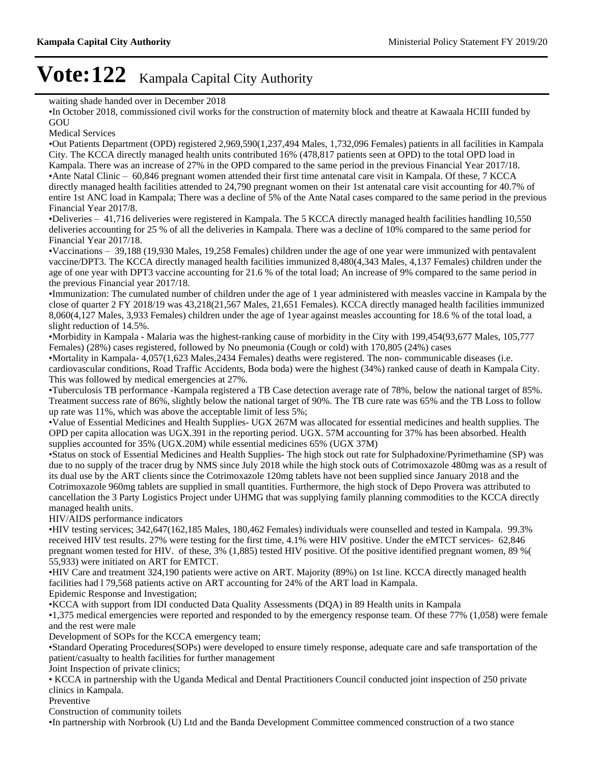waiting shade handed over in December 2018

In October 2018, commissioned civil works for the construction of maternity block and theatre at Kawaala HCIII funded by **GOU** 

Medical Services

Out Patients Department (OPD) registered 2,969,590(1,237,494 Males, 1,732,096 Females) patients in all facilities in Kampala City. The KCCA directly managed health units contributed 16% (478,817 patients seen at OPD) to the total OPD load in Kampala. There was an increase of 27% in the OPD compared to the same period in the previous Financial Year 2017/18. •Ante Natal Clinic  $-60,846$  pregnant women attended their first time antenatal care visit in Kampala. Of these, 7 KCCA directly managed health facilities attended to 24,790 pregnant women on their 1st antenatal care visit accounting for 40.7% of entire 1st ANC load in Kampala; There was a decline of 5% of the Ante Natal cases compared to the same period in the previous Financial Year 2017/8.

•Deliveries - 41,716 deliveries were registered in Kampala. The 5 KCCA directly managed health facilities handling 10,550 deliveries accounting for 25 % of all the deliveries in Kampala. There was a decline of 10% compared to the same period for Financial Year 2017/18.

 $\cdot$ Vaccinations  $-$  39,188 (19,930 Males, 19,258 Females) children under the age of one year were immunized with pentavalent vaccine/DPT3. The KCCA directly managed health facilities immunized 8,480(4,343 Males, 4,137 Females) children under the age of one year with DPT3 vaccine accounting for 21.6 % of the total load; An increase of 9% compared to the same period in the previous Financial year 2017/18.

Immunization: The cumulated number of children under the age of 1 year administered with measles vaccine in Kampala by the close of quarter 2 FY 2018/19 was 43,218(21,567 Males, 21,651 Females). KCCA directly managed health facilities immunized 8,060(4,127 Males, 3,933 Females) children under the age of 1year against measles accounting for 18.6 % of the total load, a slight reduction of 14.5%.

Morbidity in Kampala - Malaria was the highest-ranking cause of morbidity in the City with 199,454(93,677 Males, 105,777 Females) (28%) cases registered, followed by No pneumonia (Cough or cold) with 170,805 (24%) cases

Mortality in Kampala- 4,057(1,623 Males,2434 Females) deaths were registered. The non- communicable diseases (i.e. cardiovascular conditions, Road Traffic Accidents, Boda boda) were the highest (34%) ranked cause of death in Kampala City. This was followed by medical emergencies at 27%.

Tuberculosis TB performance -Kampala registered a TB Case detection average rate of 78%, below the national target of 85%. Treatment success rate of 86%, slightly below the national target of 90%. The TB cure rate was 65% and the TB Loss to follow up rate was 11%, which was above the acceptable limit of less 5%;

Value of Essential Medicines and Health Supplies- UGX 267M was allocated for essential medicines and health supplies. The OPD per capita allocation was UGX.391 in the reporting period. UGX. 57M accounting for 37% has been absorbed. Health supplies accounted for 35% (UGX.20M) while essential medicines 65% (UGX 37M)

Status on stock of Essential Medicines and Health Supplies- The high stock out rate for Sulphadoxine/Pyrimethamine (SP) was due to no supply of the tracer drug by NMS since July 2018 while the high stock outs of Cotrimoxazole 480mg was as a result of its dual use by the ART clients since the Cotrimoxazole 120mg tablets have not been supplied since January 2018 and the Cotrimoxazole 960mg tablets are supplied in small quantities. Furthermore, the high stock of Depo Provera was attributed to cancellation the 3 Party Logistics Project under UHMG that was supplying family planning commodities to the KCCA directly managed health units.

HIV/AIDS performance indicators

HIV testing services; 342,647(162,185 Males, 180,462 Females) individuals were counselled and tested in Kampala. 99.3% received HIV test results. 27% were testing for the first time, 4.1% were HIV positive. Under the eMTCT services- 62,846 pregnant women tested for HIV. of these, 3% (1,885) tested HIV positive. Of the positive identified pregnant women, 89 %( 55,933) were initiated on ART for EMTCT.

HIV Care and treatment 324,190 patients were active on ART. Majority (89%) on 1st line. KCCA directly managed health facilities had l 79,568 patients active on ART accounting for 24% of the ART load in Kampala.

Epidemic Response and Investigation;

KCCA with support from IDI conducted Data Quality Assessments (DQA) in 89 Health units in Kampala

1,375 medical emergencies were reported and responded to by the emergency response team. Of these 77% (1,058) were female and the rest were male

Development of SOPs for the KCCA emergency team;

Standard Operating Procedures(SOPs) were developed to ensure timely response, adequate care and safe transportation of the patient/casualty to health facilities for further management

Joint Inspection of private clinics;

KCCA in partnership with the Uganda Medical and Dental Practitioners Council conducted joint inspection of 250 private clinics in Kampala.

Preventive

Construction of community toilets

In partnership with Norbrook (U) Ltd and the Banda Development Committee commenced construction of a two stance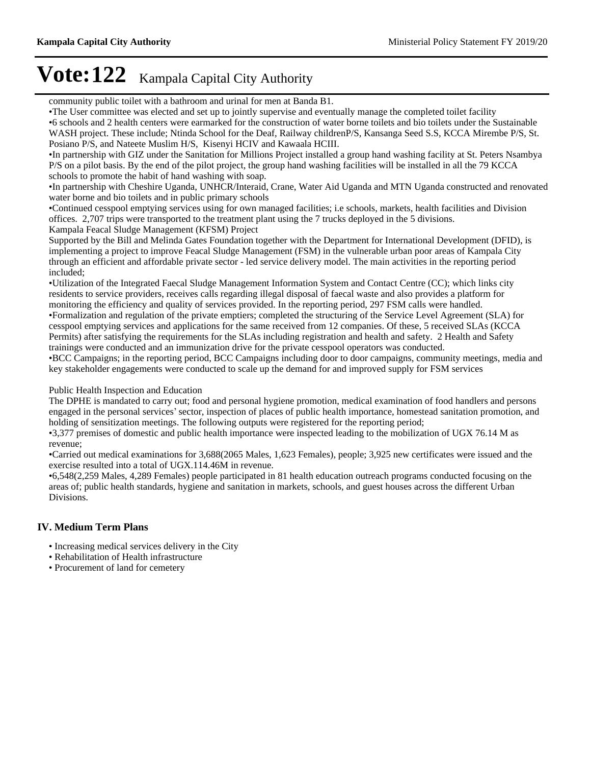community public toilet with a bathroom and urinal for men at Banda B1.

The User committee was elected and set up to jointly supervise and eventually manage the completed toilet facility

6 schools and 2 health centers were earmarked for the construction of water borne toilets and bio toilets under the Sustainable WASH project. These include; Ntinda School for the Deaf, Railway childrenP/S, Kansanga Seed S.S, KCCA Mirembe P/S, St. Posiano P/S, and Nateete Muslim H/S, Kisenyi HCIV and Kawaala HCIII.

In partnership with GIZ under the Sanitation for Millions Project installed a group hand washing facility at St. Peters Nsambya P/S on a pilot basis. By the end of the pilot project, the group hand washing facilities will be installed in all the 79 KCCA schools to promote the habit of hand washing with soap.

In partnership with Cheshire Uganda, UNHCR/Interaid, Crane, Water Aid Uganda and MTN Uganda constructed and renovated water borne and bio toilets and in public primary schools

Continued cesspool emptying services using for own managed facilities; i.e schools, markets, health facilities and Division offices. 2,707 trips were transported to the treatment plant using the 7 trucks deployed in the 5 divisions. Kampala Feacal Sludge Management (KFSM) Project

Supported by the Bill and Melinda Gates Foundation together with the Department for International Development (DFID), is implementing a project to improve Feacal Sludge Management (FSM) in the vulnerable urban poor areas of Kampala City through an efficient and affordable private sector - led service delivery model. The main activities in the reporting period included;

Utilization of the Integrated Faecal Sludge Management Information System and Contact Centre (CC); which links city residents to service providers, receives calls regarding illegal disposal of faecal waste and also provides a platform for monitoring the efficiency and quality of services provided. In the reporting period, 297 FSM calls were handled. Formalization and regulation of the private emptiers; completed the structuring of the Service Level Agreement (SLA) for cesspool emptying services and applications for the same received from 12 companies. Of these, 5 received SLAs (KCCA Permits) after satisfying the requirements for the SLAs including registration and health and safety. 2 Health and Safety trainings were conducted and an immunization drive for the private cesspool operators was conducted.

BCC Campaigns; in the reporting period, BCC Campaigns including door to door campaigns, community meetings, media and key stakeholder engagements were conducted to scale up the demand for and improved supply for FSM services

Public Health Inspection and Education

The DPHE is mandated to carry out; food and personal hygiene promotion, medical examination of food handlers and persons engaged in the personal services' sector, inspection of places of public health importance, homestead sanitation promotion, and holding of sensitization meetings. The following outputs were registered for the reporting period;

3,377 premises of domestic and public health importance were inspected leading to the mobilization of UGX 76.14 M as revenue;

Carried out medical examinations for 3,688(2065 Males, 1,623 Females), people; 3,925 new certificates were issued and the exercise resulted into a total of UGX.114.46M in revenue.

6,548(2,259 Males, 4,289 Females) people participated in 81 health education outreach programs conducted focusing on the areas of; public health standards, hygiene and sanitation in markets, schools, and guest houses across the different Urban Divisions.

### **IV. Medium Term Plans**

- Increasing medical services delivery in the City
- Rehabilitation of Health infrastructure
- Procurement of land for cemetery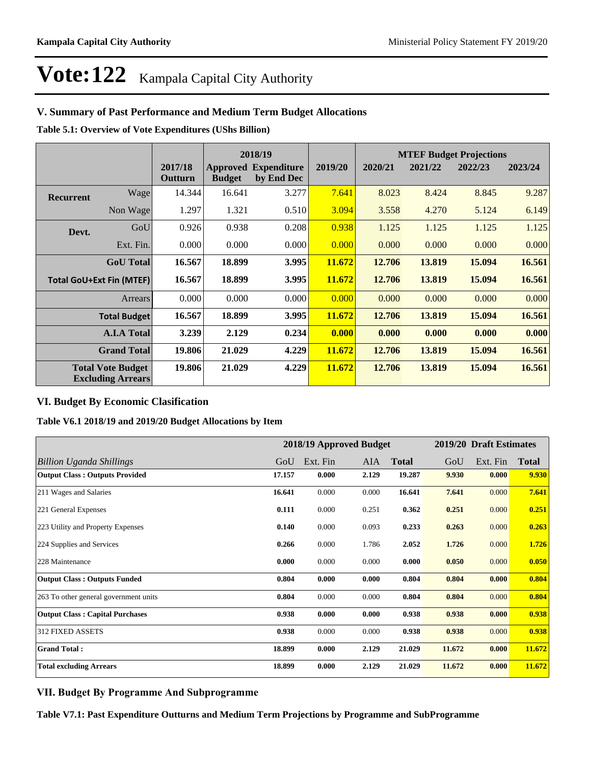### **V. Summary of Past Performance and Medium Term Budget Allocations**

**Table 5.1: Overview of Vote Expenditures (UShs Billion)**

| 2018/19                         |                                                      |                    |               | <b>MTEF Budget Projections</b>            |         |         |         |         |         |
|---------------------------------|------------------------------------------------------|--------------------|---------------|-------------------------------------------|---------|---------|---------|---------|---------|
|                                 |                                                      | 2017/18<br>Outturn | <b>Budget</b> | <b>Approved Expenditure</b><br>by End Dec | 2019/20 | 2020/21 | 2021/22 | 2022/23 | 2023/24 |
| <b>Recurrent</b>                | Wage                                                 | 14.344             | 16.641        | 3.277                                     | 7.641   | 8.023   | 8.424   | 8.845   | 9.287   |
|                                 | Non Wage                                             | 1.297              | 1.321         | 0.510                                     | 3.094   | 3.558   | 4.270   | 5.124   | 6.149   |
| Devt.                           | GoU                                                  | 0.926              | 0.938         | 0.208                                     | 0.938   | 1.125   | 1.125   | 1.125   | 1.125   |
|                                 | Ext. Fin.                                            | 0.000              | 0.000         | 0.000                                     | 0.000   | 0.000   | 0.000   | 0.000   | 0.000   |
|                                 | <b>GoU</b> Total                                     | 16.567             | 18.899        | 3.995                                     | 11.672  | 12.706  | 13.819  | 15.094  | 16.561  |
| <b>Total GoU+Ext Fin (MTEF)</b> |                                                      | 16.567             | 18.899        | 3.995                                     | 11.672  | 12.706  | 13.819  | 15.094  | 16.561  |
|                                 | <b>Arrears</b>                                       | 0.000              | 0.000         | 0.000                                     | 0.000   | 0.000   | 0.000   | 0.000   | 0.000   |
|                                 | <b>Total Budget</b>                                  | 16.567             | 18.899        | 3.995                                     | 11.672  | 12.706  | 13.819  | 15.094  | 16.561  |
|                                 | <b>A.I.A Total</b>                                   | 3.239              | 2.129         | 0.234                                     | 0.000   | 0.000   | 0.000   | 0.000   | 0.000   |
|                                 | <b>Grand Total</b>                                   | 19.806             | 21.029        | 4.229                                     | 11.672  | 12.706  | 13.819  | 15.094  | 16.561  |
|                                 | <b>Total Vote Budget</b><br><b>Excluding Arrears</b> | 19.806             | 21.029        | 4.229                                     | 11.672  | 12.706  | 13.819  | 15.094  | 16.561  |

### **VI. Budget By Economic Clasification**

**Table V6.1 2018/19 and 2019/20 Budget Allocations by Item**

|                                        |        |          | 2018/19 Approved Budget |              |        | 2019/20 Draft Estimates |              |
|----------------------------------------|--------|----------|-------------------------|--------------|--------|-------------------------|--------------|
| Billion Uganda Shillings               | GoU    | Ext. Fin | <b>AIA</b>              | <b>Total</b> | GoU    | Ext. Fin                | <b>Total</b> |
| <b>Output Class: Outputs Provided</b>  | 17.157 | 0.000    | 2.129                   | 19.287       | 9.930  | 0.000                   | 9.930        |
| 211 Wages and Salaries                 | 16.641 | 0.000    | 0.000                   | 16.641       | 7.641  | 0.000                   | 7.641        |
| 221 General Expenses                   | 0.111  | 0.000    | 0.251                   | 0.362        | 0.251  | 0.000                   | 0.251        |
| 223 Utility and Property Expenses      | 0.140  | 0.000    | 0.093                   | 0.233        | 0.263  | 0.000                   | 0.263        |
| 224 Supplies and Services              | 0.266  | 0.000    | 1.786                   | 2.052        | 1.726  | 0.000                   | 1.726        |
| 228 Maintenance                        | 0.000  | 0.000    | 0.000                   | 0.000        | 0.050  | 0.000                   | 0.050        |
| <b>Output Class: Outputs Funded</b>    | 0.804  | 0.000    | 0.000                   | 0.804        | 0.804  | 0.000                   | 0.804        |
| 263 To other general government units  | 0.804  | 0.000    | 0.000                   | 0.804        | 0.804  | 0.000                   | 0.804        |
| <b>Output Class: Capital Purchases</b> | 0.938  | 0.000    | 0.000                   | 0.938        | 0.938  | 0.000                   | 0.938        |
| 312 FIXED ASSETS                       | 0.938  | 0.000    | 0.000                   | 0.938        | 0.938  | 0.000                   | 0.938        |
| <b>Grand Total:</b>                    | 18.899 | 0.000    | 2.129                   | 21.029       | 11.672 | 0.000                   | 11.672       |
| <b>Total excluding Arrears</b>         | 18.899 | 0.000    | 2.129                   | 21.029       | 11.672 | 0.000                   | 11.672       |

### **VII. Budget By Programme And Subprogramme**

**Table V7.1: Past Expenditure Outturns and Medium Term Projections by Programme and SubProgramme**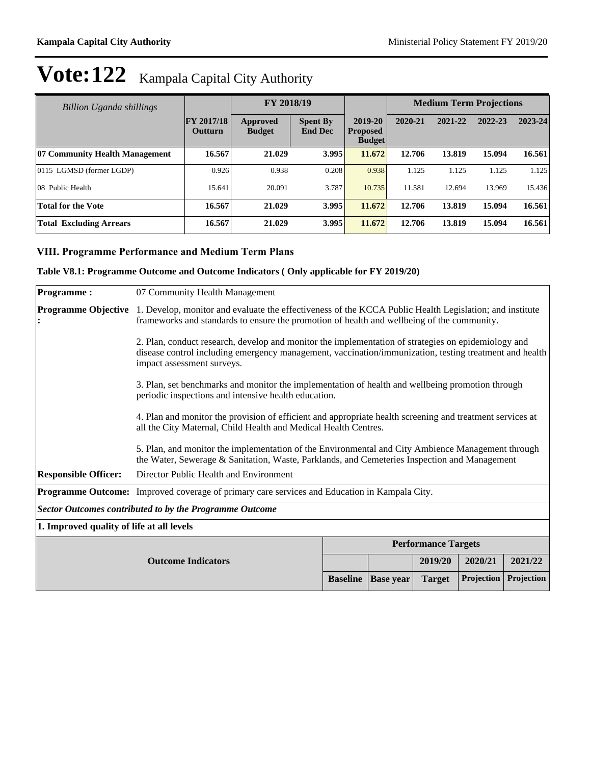|  | Vote: 122 Kampala Capital City Authority |
|--|------------------------------------------|
|--|------------------------------------------|

| Billion Uganda shillings       |                                     | FY 2018/19                |                                   |                                             | <b>Medium Term Projections</b> |         |         |         |
|--------------------------------|-------------------------------------|---------------------------|-----------------------------------|---------------------------------------------|--------------------------------|---------|---------|---------|
|                                | <b>FY 2017/18</b><br><b>Outturn</b> | Approved<br><b>Budget</b> | <b>Spent By</b><br><b>End Dec</b> | 2019-20<br><b>Proposed</b><br><b>Budget</b> | 2020-21                        | 2021-22 | 2022-23 | 2023-24 |
| 07 Community Health Management | 16.567                              | 21.029                    | 3.995                             | 11.672                                      | 12.706                         | 13.819  | 15.094  | 16.561  |
| 0115 LGMSD (former LGDP)       | 0.926                               | 0.938                     | 0.208                             | 0.938                                       | 1.125                          | 1.125   | 1.125   | 1.125   |
| 08 Public Health               | 15.641                              | 20.091                    | 3.787                             | 10.735                                      | 11.581                         | 12.694  | 13.969  | 15.436  |
| <b>Total for the Vote</b>      | 16.567                              | 21.029                    | 3.995                             | 11.672                                      | 12.706                         | 13.819  | 15.094  | 16.561  |
| <b>Total Excluding Arrears</b> | 16.567                              | 21.029                    | 3.995                             | 11.672                                      | 12.706                         | 13.819  | 15.094  | 16.561  |

## **VIII. Programme Performance and Medium Term Plans**

### **Table V8.1: Programme Outcome and Outcome Indicators ( Only applicable for FY 2019/20)**

| <b>Programme:</b>           | 07 Community Health Management                                                                                                                                                                                                              |                 |                  |               |                   |            |  |  |
|-----------------------------|---------------------------------------------------------------------------------------------------------------------------------------------------------------------------------------------------------------------------------------------|-----------------|------------------|---------------|-------------------|------------|--|--|
| <b>Programme Objective</b>  | 1. Develop, monitor and evaluate the effectiveness of the KCCA Public Health Legislation; and institute<br>frameworks and standards to ensure the promotion of health and wellbeing of the community.                                       |                 |                  |               |                   |            |  |  |
|                             | 2. Plan, conduct research, develop and monitor the implementation of strategies on epidemiology and<br>disease control including emergency management, vaccination/immunization, testing treatment and health<br>impact assessment surveys. |                 |                  |               |                   |            |  |  |
|                             | 3. Plan, set benchmarks and monitor the implementation of health and wellbeing promotion through<br>periodic inspections and intensive health education.                                                                                    |                 |                  |               |                   |            |  |  |
|                             | 4. Plan and monitor the provision of efficient and appropriate health screening and treatment services at<br>all the City Maternal, Child Health and Medical Health Centres.                                                                |                 |                  |               |                   |            |  |  |
|                             | 5. Plan, and monitor the implementation of the Environmental and City Ambience Management through<br>the Water, Sewerage & Sanitation, Waste, Parklands, and Cemeteries Inspection and Management                                           |                 |                  |               |                   |            |  |  |
| <b>Responsible Officer:</b> | Director Public Health and Environment                                                                                                                                                                                                      |                 |                  |               |                   |            |  |  |
|                             | <b>Programme Outcome:</b> Improved coverage of primary care services and Education in Kampala City.                                                                                                                                         |                 |                  |               |                   |            |  |  |
|                             | <b>Sector Outcomes contributed to by the Programme Outcome</b>                                                                                                                                                                              |                 |                  |               |                   |            |  |  |
|                             | 1. Improved quality of life at all levels                                                                                                                                                                                                   |                 |                  |               |                   |            |  |  |
| <b>Performance Targets</b>  |                                                                                                                                                                                                                                             |                 |                  |               |                   |            |  |  |
|                             | <b>Outcome Indicators</b>                                                                                                                                                                                                                   |                 |                  | 2019/20       | 2020/21           | 2021/22    |  |  |
|                             |                                                                                                                                                                                                                                             | <b>Baseline</b> | <b>Base</b> year | <b>Target</b> | <b>Projection</b> | Projection |  |  |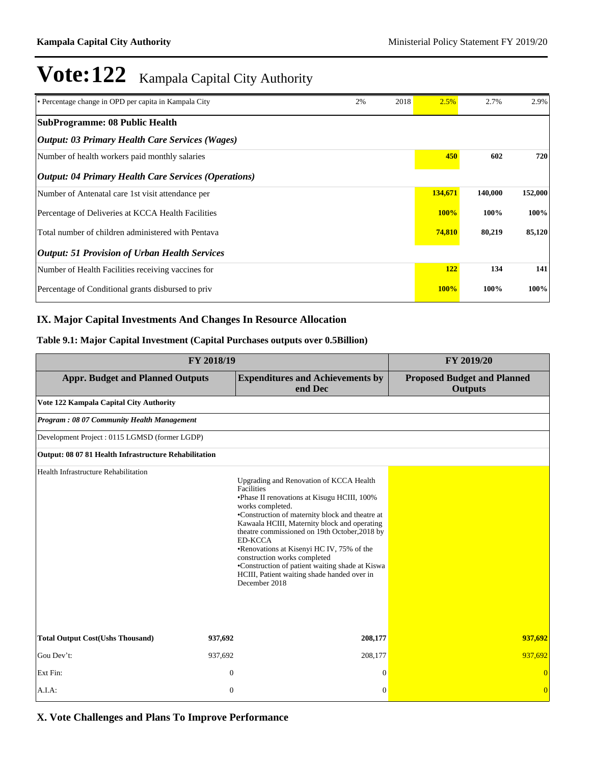| • Percentage change in OPD per capita in Kampala City         | 2% | 2018 | 2.5%        | 2.7%    | 2.9%    |
|---------------------------------------------------------------|----|------|-------------|---------|---------|
| SubProgramme: 08 Public Health                                |    |      |             |         |         |
| <i><b>Output: 03 Primary Health Care Services (Wages)</b></i> |    |      |             |         |         |
| Number of health workers paid monthly salaries                |    |      | 450         | 602     | 720     |
| <b>Output: 04 Primary Health Care Services (Operations)</b>   |    |      |             |         |         |
| Number of Antenatal care 1st visit attendance per             |    |      | 134,671     | 140,000 | 152,000 |
| Percentage of Deliveries at KCCA Health Facilities            |    |      | 100%        | 100%    | 100%    |
| Total number of children administered with Pentava            |    |      | 74,810      | 80,219  | 85,120  |
| <b>Output: 51 Provision of Urban Health Services</b>          |    |      |             |         |         |
| Number of Health Facilities receiving vaccines for            |    |      | 122         | 134     | 141     |
| Percentage of Conditional grants disbursed to priv            |    |      | <b>100%</b> | 100%    | 100%    |

## **IX. Major Capital Investments And Changes In Resource Allocation**

### **Table 9.1: Major Capital Investment (Capital Purchases outputs over 0.5Billion)**

|                                                       | FY 2019/20       |                                                                                                                                                                                                                                                                                                                                                                                                                                                                                                |                                                      |
|-------------------------------------------------------|------------------|------------------------------------------------------------------------------------------------------------------------------------------------------------------------------------------------------------------------------------------------------------------------------------------------------------------------------------------------------------------------------------------------------------------------------------------------------------------------------------------------|------------------------------------------------------|
| <b>Appr. Budget and Planned Outputs</b>               |                  | <b>Expenditures and Achievements by</b><br>end Dec                                                                                                                                                                                                                                                                                                                                                                                                                                             | <b>Proposed Budget and Planned</b><br><b>Outputs</b> |
| Vote 122 Kampala Capital City Authority               |                  |                                                                                                                                                                                                                                                                                                                                                                                                                                                                                                |                                                      |
| Program: 08 07 Community Health Management            |                  |                                                                                                                                                                                                                                                                                                                                                                                                                                                                                                |                                                      |
| Development Project: 0115 LGMSD (former LGDP)         |                  |                                                                                                                                                                                                                                                                                                                                                                                                                                                                                                |                                                      |
| Output: 08 07 81 Health Infrastructure Rehabilitation |                  |                                                                                                                                                                                                                                                                                                                                                                                                                                                                                                |                                                      |
| Health Infrastructure Rehabilitation                  |                  | Upgrading and Renovation of KCCA Health<br>Facilities<br>•Phase II renovations at Kisugu HCIII, 100%<br>works completed.<br>•Construction of maternity block and theatre at<br>Kawaala HCIII, Maternity block and operating<br>theatre commissioned on 19th October, 2018 by<br><b>ED-KCCA</b><br>•Renovations at Kisenyi HC IV, 75% of the<br>construction works completed<br>•Construction of patient waiting shade at Kiswa<br>HCIII, Patient waiting shade handed over in<br>December 2018 |                                                      |
| <b>Total Output Cost(Ushs Thousand)</b>               | 937,692          | 208,177                                                                                                                                                                                                                                                                                                                                                                                                                                                                                        | 937,692                                              |
| Gou Dev't:                                            | 937,692          | 208,177                                                                                                                                                                                                                                                                                                                                                                                                                                                                                        | 937.692                                              |
| Ext Fin:                                              | $\boldsymbol{0}$ | $\theta$                                                                                                                                                                                                                                                                                                                                                                                                                                                                                       | $\overline{0}$                                       |
| A.I.A.                                                | $\mathbf{0}$     | $\Omega$                                                                                                                                                                                                                                                                                                                                                                                                                                                                                       | $\overline{0}$                                       |